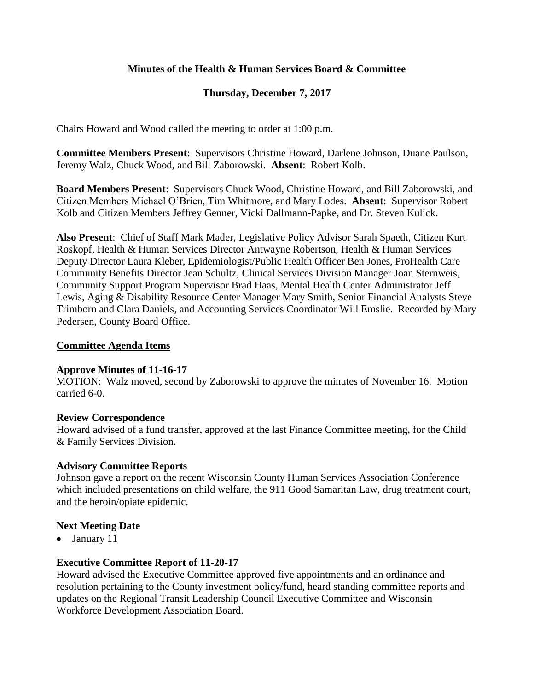# **Minutes of the Health & Human Services Board & Committee**

# **Thursday, December 7, 2017**

Chairs Howard and Wood called the meeting to order at 1:00 p.m.

**Committee Members Present**: Supervisors Christine Howard, Darlene Johnson, Duane Paulson, Jeremy Walz, Chuck Wood, and Bill Zaborowski. **Absent**: Robert Kolb.

**Board Members Present**: Supervisors Chuck Wood, Christine Howard, and Bill Zaborowski, and Citizen Members Michael O'Brien, Tim Whitmore, and Mary Lodes. **Absent**: Supervisor Robert Kolb and Citizen Members Jeffrey Genner, Vicki Dallmann-Papke, and Dr. Steven Kulick.

**Also Present**:Chief of Staff Mark Mader, Legislative Policy Advisor Sarah Spaeth, Citizen Kurt Roskopf, Health & Human Services Director Antwayne Robertson, Health & Human Services Deputy Director Laura Kleber, Epidemiologist/Public Health Officer Ben Jones, ProHealth Care Community Benefits Director Jean Schultz, Clinical Services Division Manager Joan Sternweis, Community Support Program Supervisor Brad Haas, Mental Health Center Administrator Jeff Lewis, Aging & Disability Resource Center Manager Mary Smith, Senior Financial Analysts Steve Trimborn and Clara Daniels, and Accounting Services Coordinator Will Emslie. Recorded by Mary Pedersen, County Board Office.

### **Committee Agenda Items**

### **Approve Minutes of 11-16-17**

MOTION: Walz moved, second by Zaborowski to approve the minutes of November 16. Motion carried 6-0.

### **Review Correspondence**

Howard advised of a fund transfer, approved at the last Finance Committee meeting, for the Child & Family Services Division.

### **Advisory Committee Reports**

Johnson gave a report on the recent Wisconsin County Human Services Association Conference which included presentations on child welfare, the 911 Good Samaritan Law, drug treatment court, and the heroin/opiate epidemic.

## **Next Meeting Date**

• January 11

## **Executive Committee Report of 11-20-17**

Howard advised the Executive Committee approved five appointments and an ordinance and resolution pertaining to the County investment policy/fund, heard standing committee reports and updates on the Regional Transit Leadership Council Executive Committee and Wisconsin Workforce Development Association Board.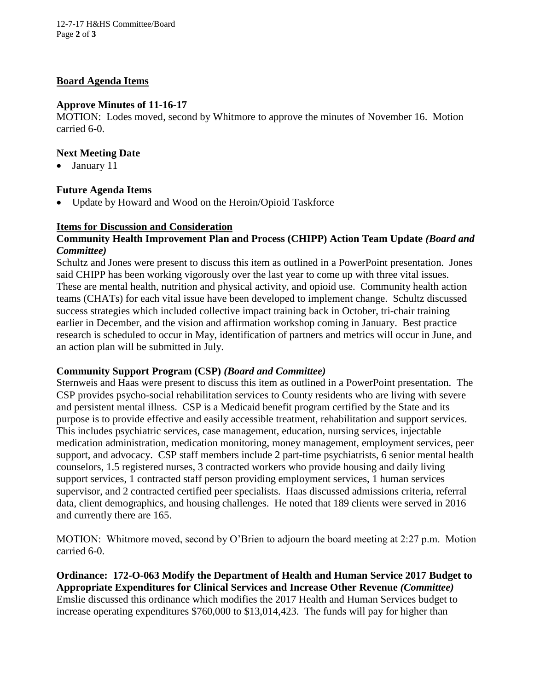12-7-17 H&HS Committee/Board Page **2** of **3**

### **Board Agenda Items**

### **Approve Minutes of 11-16-17**

MOTION: Lodes moved, second by Whitmore to approve the minutes of November 16. Motion carried 6-0.

## **Next Meeting Date**

• January 11

## **Future Agenda Items**

• Update by Howard and Wood on the Heroin/Opioid Taskforce

### **Items for Discussion and Consideration**

### **Community Health Improvement Plan and Process (CHIPP) Action Team Update** *(Board and Committee)*

Schultz and Jones were present to discuss this item as outlined in a PowerPoint presentation. Jones said CHIPP has been working vigorously over the last year to come up with three vital issues. These are mental health, nutrition and physical activity, and opioid use. Community health action teams (CHATs) for each vital issue have been developed to implement change. Schultz discussed success strategies which included collective impact training back in October, tri-chair training earlier in December, and the vision and affirmation workshop coming in January. Best practice research is scheduled to occur in May, identification of partners and metrics will occur in June, and an action plan will be submitted in July.

### **Community Support Program (CSP)** *(Board and Committee)*

Sternweis and Haas were present to discuss this item as outlined in a PowerPoint presentation. The CSP provides psycho-social rehabilitation services to County residents who are living with severe and persistent mental illness. CSP is a Medicaid benefit program certified by the State and its purpose is to provide effective and easily accessible treatment, rehabilitation and support services. This includes psychiatric services, case management, education, nursing services, injectable medication administration, medication monitoring, money management, employment services, peer support, and advocacy. CSP staff members include 2 part-time psychiatrists, 6 senior mental health counselors, 1.5 registered nurses, 3 contracted workers who provide housing and daily living support services, 1 contracted staff person providing employment services, 1 human services supervisor, and 2 contracted certified peer specialists. Haas discussed admissions criteria, referral data, client demographics, and housing challenges. He noted that 189 clients were served in 2016 and currently there are 165.

MOTION: Whitmore moved, second by O'Brien to adjourn the board meeting at 2:27 p.m. Motion carried 6-0.

**Ordinance: 172-O-063 Modify the Department of Health and Human Service 2017 Budget to Appropriate Expenditures for Clinical Services and Increase Other Revenue** *(Committee)* Emslie discussed this ordinance which modifies the 2017 Health and Human Services budget to increase operating expenditures \$760,000 to \$13,014,423. The funds will pay for higher than